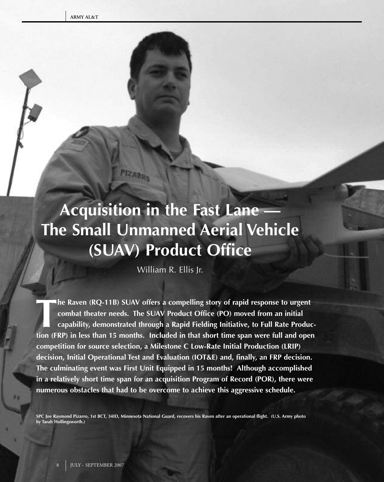# **Acquisition in the Fast Lane — The Small Unmanned Aerial Vehicle (SUAV) Product Office**

PIZARRO

William R. Ellis Jr.

**The Raven (RQ-11B) SUAV offers a compelling story of rapid response to urgent combat theater needs. The SUAV Product Office (PO) moved from an initial capability, demonstrated through a Rapid Fielding Initiative, to Full combat theater needs. The SUAV Product Office (PO) moved from an initial capability, demonstrated through a Rapid Fielding Initiative, to Full Rate Production (FRP) in less than 15 months. Included in that short time span were full and open competition for source selection, a Milestone C Low-Rate Initial Production (LRIP) decision, Initial Operational Test and Evaluation (IOT&E) and, finally, an FRP decision. The culminating event was First Unit Equipped in 15 months! Although accomplished in a relatively short time span for an acquisition Program of Record (POR), there were numerous obstacles that had to be overcome to achieve this aggressive schedule.**

SPC Joe Raymond Pizarro, 1st BCT, 34ID, Minnesota National Guard, recovers his Raven after an operational flight. (U.S. Army photo **by Tarah Hollingsworth.)**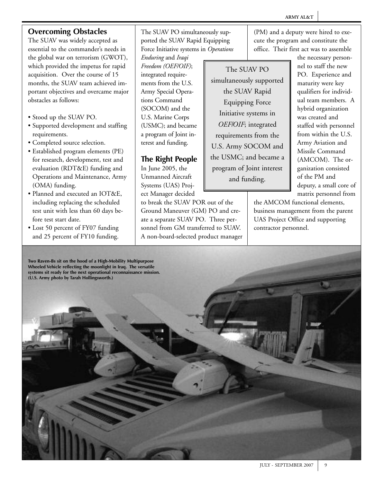### **Overcoming Obstacles**

The SUAV was widely accepted as essential to the commander's needs in the global war on terrorism (GWOT), which provided the impetus for rapid acquisition. Over the course of 15 months, the SUAV team achieved important objectives and overcame major obstacles as follows:

- Stood up the SUAV PO.
- Supported development and staffing requirements.
- Completed source selection.
- Established program elements (PE) for research, development, test and evaluation (RDT&E) funding and Operations and Maintenance, Army (OMA) funding.
- Planned and executed an IOT&E, including replacing the scheduled test unit with less than 60 days before test start date.
- Lost 50 percent of FY07 funding and 25 percent of FY10 funding.

The SUAV PO simultaneously supported the SUAV Rapid Equipping Force Initiative systems in *Operations*

*Enduring* and *Iraqi Freedom (OEF/OIF)*; integrated requirements from the U.S. Army Special Operations Command (SOCOM) and the U.S. Marine Corps (USMC); and became a program of Joint interest and funding.

## **The Right People**

In June 2005, the Unmanned Aircraft Systems (UAS) Project Manager decided

to break the SUAV POR out of the Ground Maneuver (GM) PO and create a separate SUAV PO. Three personnel from GM transferred to SUAV. A non-board-selected product manager

(PM) and a deputy were hired to execute the program and constitute the office. Their first act was to assemble

The SUAV PO simultaneously supported the SUAV Rapid Equipping Force Initiative systems in *OEF*/*OIF*; integrated requirements from the U.S. Army SOCOM and the USMC; and became a program of Joint interest and funding.

the necessary personnel to staff the new PO. Experience and maturity were key qualifiers for individual team members. A hybrid organization was created and staffed with personnel from within the U.S. Army Aviation and Missile Command (AMCOM). The organization consisted of the PM and deputy, a small core of matrix personnel from

the AMCOM functional elements, business management from the parent UAS Project Office and supporting contractor personnel.

**Two Raven-Bs sit on the hood of a High-Mobility Multipurpose Wheeled Vehicle reflecting the moonlight in Iraq. The versatile systems sit ready for the next operational reconnaissance mission. (U.S. Army photo by Tarah Hollingsworth.)**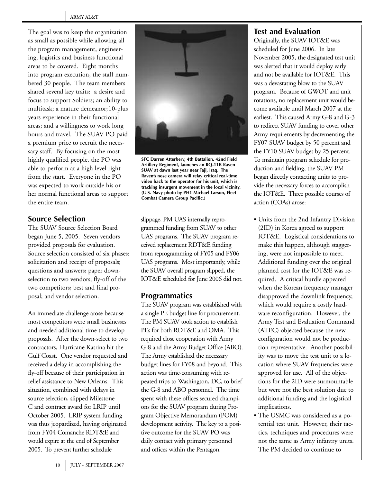The goal was to keep the organization as small as possible while allowing all the program management, engineering, logistics and business functional areas to be covered. Eight months into program execution, the staff numbered 30 people. The team members shared several key traits: a desire and focus to support Soldiers; an ability to multitask; a mature demeanor;10-plus years experience in their functional areas; and a willingness to work long hours and travel. The SUAV PO paid a premium price to recruit the necessary staff. By focusing on the most highly qualified people, the PO was able to perform at a high level right from the start. Everyone in the PO was expected to work outside his or her normal functional areas to support the entire team.

# **Source Selection**

The SUAV Source Selection Board began June 5, 2005. Seven vendors provided proposals for evaluation. Source selection consisted of six phases: solicitation and receipt of proposals; questions and answers; paper downselection to two vendors; fly-off of the two competitors; best and final proposal; and vendor selection.

An immediate challenge arose because most competitors were small businesses and needed additional time to develop proposals. After the down-select to two contractors, Hurricane Katrina hit the Gulf Coast. One vendor requested and received a delay in accomplishing the fly-off because of their participation in relief assistance to New Orleans. This situation, combined with delays in source selection, slipped Milestone C and contract award for LRIP until October 2005. LRIP system funding was thus jeopardized, having originated from FY04 Comanche RDT&E and would expire at the end of September 2005. To prevent further schedule



**SFC Darren Atterbery, 4th Battalion, 42nd Field Artillery Regiment, launches an RQ-11B Raven SUAV at dawn last year near Taji, Iraq. The Raven's nose camera will relay critical real-time video back to the operator for his unit, which is tracking insurgent movement in the local vicinity. (U.S. Navy photo by PH1 Michael Larson, Fleet Combat Camera Group Pacific.)**

slippage, PM UAS internally reprogrammed funding from SUAV to other UAS programs. The SUAV program received replacement RDT&E funding from reprogramming of FY05 and FY06 UAS programs. Most importantly, while the SUAV overall program slipped, the IOT&E scheduled for June 2006 did not.

## **Programmatics**

The SUAV program was established with a single PE budget line for procurement. The PM SUAV took action to establish PEs for both RDT&E and OMA. This required close cooperation with Army G-8 and the Army Budget Office (ABO). The Army established the necessary budget lines for FY08 and beyond. This action was time-consuming with repeated trips to Washington, DC, to brief the G-8 and ABO personnel. The time spent with these offices secured champions for the SUAV program during Program Objective Memorandum (POM) development activity. The key to a positive outcome for the SUAV PO was daily contact with primary personnel and offices within the Pentagon.

## **Test and Evaluation**

Originally, the SUAV IOT&E was scheduled for June 2006. In late November 2005, the designated test unit was alerted that it would deploy early and not be available for IOT&E. This was a devastating blow to the SUAV program. Because of GWOT and unit rotations, no replacement unit would become available until March 2007 at the earliest. This caused Army G-8 and G-3 to redirect SUAV funding to cover other Army requirements by decrementing the FY07 SUAV budget by 50 percent and the FY10 SUAV budget by 25 percent. To maintain program schedule for production and fielding, the SUAV PM began directly contacting units to provide the necessary forces to accomplish the IOT&E. Three possible courses of action (COAs) arose:

- Units from the 2nd Infantry Division (2ID) in Korea agreed to support IOT&E. Logistical considerations to make this happen, although staggering, were not impossible to meet. Additional funding over the original planned cost for the IOT&E was required. A critical hurdle appeared when the Korean frequency manager disapproved the downlink frequency, which would require a costly hardware reconfiguration. However, the Army Test and Evaluation Command (ATEC) objected because the new configuration would not be production representative. Another possibility was to move the test unit to a location where SUAV frequencies were approved for use. All of the objections for the 2ID were surmountable but were not the best solution due to additional funding and the logistical implications.
- The USMC was considered as a potential test unit. However, their tactics, techniques and procedures were not the same as Army infantry units. The PM decided to continue to